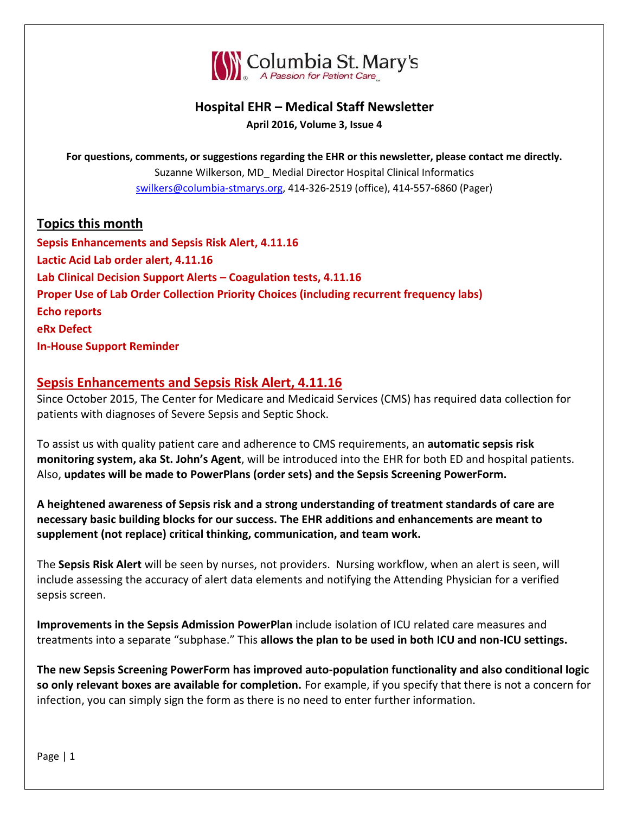

# **Hospital EHR – Medical Staff Newsletter April 2016, Volume 3, Issue 4**

**For questions, comments, or suggestions regarding the EHR or this newsletter, please contact me directly.** Suzanne Wilkerson, MD\_ Medial Director Hospital Clinical Informatics [swilkers@columbia-stmarys.org,](mailto:swilkers@columbia-stmarys.org) 414-326-2519 (office), 414-557-6860 (Pager)

# **Topics this month**

**Sepsis Enhancements and Sepsis Risk Alert, 4.11.16 Lactic Acid Lab order alert, 4.11.16 Lab Clinical Decision Support Alerts – Coagulation tests, 4.11.16 Proper Use of Lab Order Collection Priority Choices (including recurrent frequency labs) Echo reports eRx Defect In-House Support Reminder**

### **Sepsis Enhancements and Sepsis Risk Alert, 4.11.16**

Since October 2015, The Center for Medicare and Medicaid Services (CMS) has required data collection for patients with diagnoses of Severe Sepsis and Septic Shock.

To assist us with quality patient care and adherence to CMS requirements, an **automatic sepsis risk monitoring system, aka St. John's Agent**, will be introduced into the EHR for both ED and hospital patients. Also, **updates will be made to PowerPlans (order sets) and the Sepsis Screening PowerForm.**

**A heightened awareness of Sepsis risk and a strong understanding of treatment standards of care are necessary basic building blocks for our success. The EHR additions and enhancements are meant to supplement (not replace) critical thinking, communication, and team work.** 

The **Sepsis Risk Alert** will be seen by nurses, not providers. Nursing workflow, when an alert is seen, will include assessing the accuracy of alert data elements and notifying the Attending Physician for a verified sepsis screen.

**Improvements in the Sepsis Admission PowerPlan** include isolation of ICU related care measures and treatments into a separate "subphase." This **allows the plan to be used in both ICU and non-ICU settings.**

**The new Sepsis Screening PowerForm has improved auto-population functionality and also conditional logic so only relevant boxes are available for completion.** For example, if you specify that there is not a concern for infection, you can simply sign the form as there is no need to enter further information.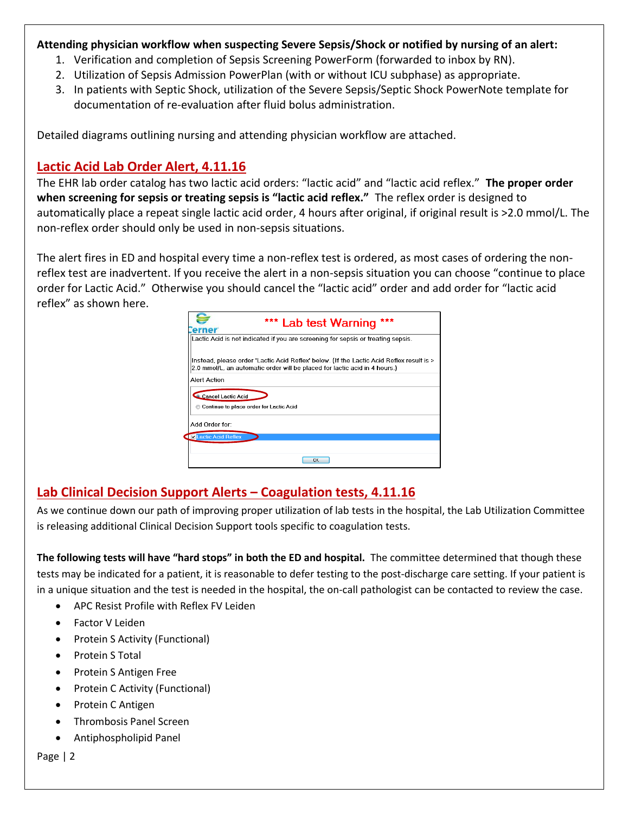### **Attending physician workflow when suspecting Severe Sepsis/Shock or notified by nursing of an alert:**

- 1. Verification and completion of Sepsis Screening PowerForm (forwarded to inbox by RN).
- 2. Utilization of Sepsis Admission PowerPlan (with or without ICU subphase) as appropriate.
- 3. In patients with Septic Shock, utilization of the Severe Sepsis/Septic Shock PowerNote template for documentation of re-evaluation after fluid bolus administration.

Detailed diagrams outlining nursing and attending physician workflow are attached.

## **Lactic Acid Lab Order Alert, 4.11.16**

The EHR lab order catalog has two lactic acid orders: "lactic acid" and "lactic acid reflex." **The proper order when screening for sepsis or treating sepsis is "lactic acid reflex."** The reflex order is designed to automatically place a repeat single lactic acid order, 4 hours after original, if original result is >2.0 mmol/L. The non-reflex order should only be used in non-sepsis situations.

The alert fires in ED and hospital every time a non-reflex test is ordered, as most cases of ordering the nonreflex test are inadvertent. If you receive the alert in a non-sepsis situation you can choose "continue to place order for Lactic Acid." Otherwise you should cancel the "lactic acid" order and add order for "lactic acid reflex" as shown here.

| ***<br>*** Lab test Warning<br>erner                                                                                                                                   |
|------------------------------------------------------------------------------------------------------------------------------------------------------------------------|
| Lactic Acid is not indicated if you are screening for sepsis or treating sepsis.                                                                                       |
| Instead, please order 'Lactic Acid Reflex' below. (If the Lactic Acid Reflex result is ><br>2.0 mmol/L, an automatic order will be placed for lactic acid in 4 hours.) |
| Alert Action                                                                                                                                                           |
| Cancel Lactic Acid<br>Continue to place order for Lactic Acid                                                                                                          |
| Add Order for:                                                                                                                                                         |
| <b>MLactic Acid Reflex</b>                                                                                                                                             |
|                                                                                                                                                                        |
| <b>nk</b>                                                                                                                                                              |

# **Lab Clinical Decision Support Alerts – Coagulation tests, 4.11.16**

As we continue down our path of improving proper utilization of lab tests in the hospital, the Lab Utilization Committee is releasing additional Clinical Decision Support tools specific to coagulation tests.

**The following tests will have "hard stops" in both the ED and hospital.** The committee determined that though these tests may be indicated for a patient, it is reasonable to defer testing to the post-discharge care setting. If your patient is in a unique situation and the test is needed in the hospital, the on-call pathologist can be contacted to review the case.

- APC Resist Profile with Reflex FV Leiden
- Factor V Leiden
- Protein S Activity (Functional)
- Protein S Total
- Protein S Antigen Free
- Protein C Activity (Functional)
- Protein C Antigen
- Thrombosis Panel Screen
- Antiphospholipid Panel

Page | 2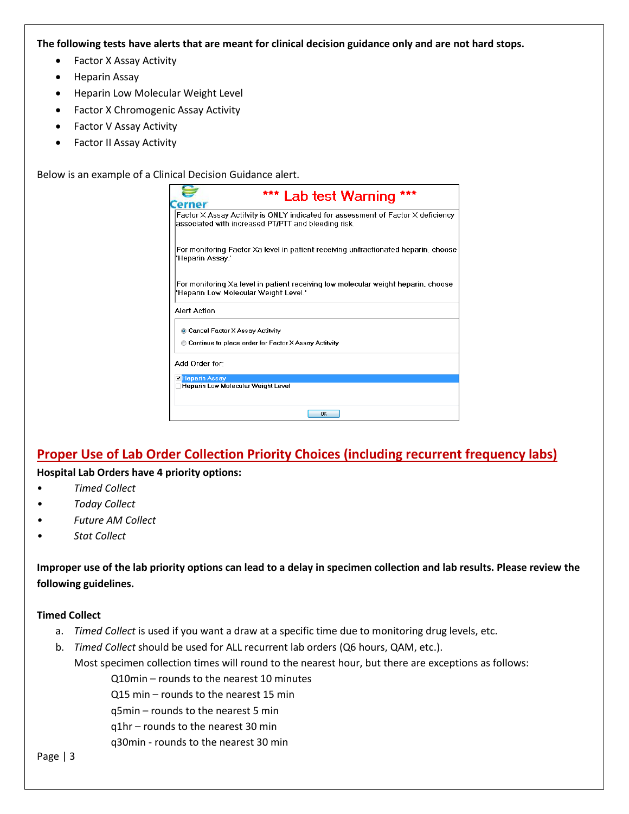**The following tests have alerts that are meant for clinical decision guidance only and are not hard stops.**

- Factor X Assay Activity
- Heparin Assay
- Heparin Low Molecular Weight Level
- Factor X Chromogenic Assay Activity
- Factor V Assay Activity
- Factor II Assay Activity

Below is an example of a Clinical Decision Guidance alert.

| *** Lab test Warning<br>erner                                                                                                           |
|-----------------------------------------------------------------------------------------------------------------------------------------|
| Factor X Assay Actitvity is ONLY indicated for assessment of Factor X deficiency<br>associated with increased PT/PTT and bleeding risk. |
| For monitoring Factor Xa level in patient receiving unfractionated heparin, choose<br>'Heparin Assay.'                                  |
| For monitoring Xa level in patient receiving low molecular weight heparin, choose<br>'Heparin Low Molecular Weight Level.'              |
| Alert Action                                                                                                                            |
| Cancel Factor X Assay Actitvity                                                                                                         |
| Continue to place order for Factor X Assay Actitvity                                                                                    |
| Add Order for:                                                                                                                          |
| <b>Z</b> Heparin Assay                                                                                                                  |
| Heparin Low Molecular Weight Level                                                                                                      |
| OK                                                                                                                                      |

# **Proper Use of Lab Order Collection Priority Choices (including recurrent frequency labs)**

#### **Hospital Lab Orders have 4 priority options:**

- *Timed Collect*
- *• Today Collect*
- *• Future AM Collect*
- *• Stat Collect*

**Improper use of the lab priority options can lead to a delay in specimen collection and lab results. Please review the following guidelines.**

#### **Timed Collect**

- a. *Timed Collect* is used if you want a draw at a specific time due to monitoring drug levels, etc.
- b. *Timed Collect* should be used for ALL recurrent lab orders (Q6 hours, QAM, etc.).

Most specimen collection times will round to the nearest hour, but there are exceptions as follows:

Q10min – rounds to the nearest 10 minutes

Q15 min – rounds to the nearest 15 min

q5min – rounds to the nearest 5 min

q1hr – rounds to the nearest 30 min

q30min - rounds to the nearest 30 min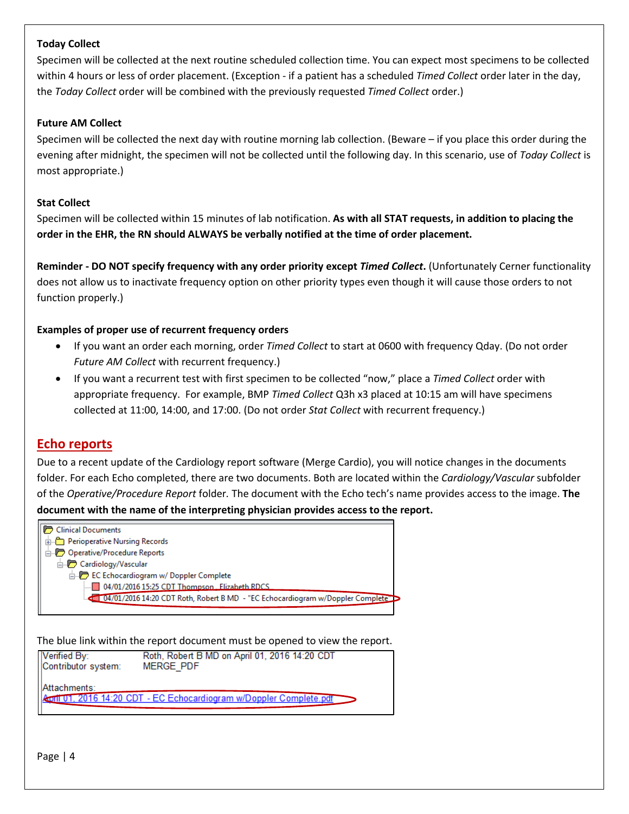#### **Today Collect**

Specimen will be collected at the next routine scheduled collection time. You can expect most specimens to be collected within 4 hours or less of order placement. (Exception - if a patient has a scheduled *Timed Collect* order later in the day, the *Today Collect* order will be combined with the previously requested *Timed Collect* order.)

#### **Future AM Collect**

Specimen will be collected the next day with routine morning lab collection. (Beware – if you place this order during the evening after midnight, the specimen will not be collected until the following day. In this scenario, use of *Today Collect* is most appropriate.)

#### **Stat Collect**

Specimen will be collected within 15 minutes of lab notification. **As with all STAT requests, in addition to placing the order in the EHR, the RN should ALWAYS be verbally notified at the time of order placement.**

**Reminder - DO NOT specify frequency with any order priority except** *Timed Collect***.** (Unfortunately Cerner functionality does not allow us to inactivate frequency option on other priority types even though it will cause those orders to not function properly.)

#### **Examples of proper use of recurrent frequency orders**

- If you want an order each morning, order *Timed Collect* to start at 0600 with frequency Qday. (Do not order *Future AM Collect* with recurrent frequency.)
- If you want a recurrent test with first specimen to be collected "now," place a *Timed Collect* order with appropriate frequency. For example, BMP *Timed Collect* Q3h x3 placed at 10:15 am will have specimens collected at 11:00, 14:00, and 17:00. (Do not order *Stat Collect* with recurrent frequency.)

### **Echo reports**

Due to a recent update of the Cardiology report software (Merge Cardio), you will notice changes in the documents folder. For each Echo completed, there are two documents. Both are located within the *Cardiology/Vascular* subfolder of the *Operative/Procedure Report* folder*.* The document with the Echo tech's name provides access to the image. **The document with the name of the interpreting physician provides access to the report.**



The blue link within the report document must be opened to view the report.

| Verified By:        | Roth, Robert B MD on April 01, 2016 14:20 CDT                              |
|---------------------|----------------------------------------------------------------------------|
| Contributor system: | <b>MERGE PDF</b>                                                           |
| Attachments:        | <b>April 01, 2016 14:20 CDT - EC Echocardiogram w/Doppler Complete.pdf</b> |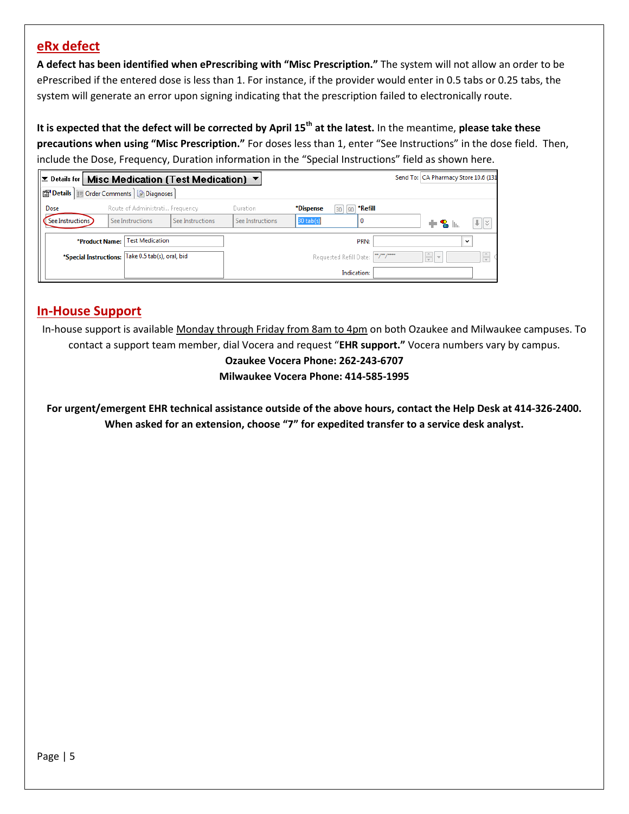## **eRx defect**

**A defect has been identified when ePrescribing with "Misc Prescription."** The system will not allow an order to be ePrescribed if the entered dose is less than 1. For instance, if the provider would enter in 0.5 tabs or 0.25 tabs, the system will generate an error upon signing indicating that the prescription failed to electronically route.

**It is expected that the defect will be corrected by April 15th at the latest.** In the meantime, **please take these precautions when using "Misc Prescription."** For doses less than 1, enter "See Instructions" in the dose field. Then, include the Dose, Frequency, Duration information in the "Special Instructions" field as shown here.

| Send To: CA Pharmacy Store 10.6 (131)<br>E Details for Misc Medication (Test Medication) ▼ |                                                   |                  |                  |                                    |               |                 |                           |  |  |  |
|--------------------------------------------------------------------------------------------|---------------------------------------------------|------------------|------------------|------------------------------------|---------------|-----------------|---------------------------|--|--|--|
| Details   Details   Diagnoses                                                              |                                                   |                  |                  |                                    |               |                 |                           |  |  |  |
| Dose                                                                                       | Route of Administrati Frequency                   |                  | Duration         | *Dispense<br>90<br>30 <sup>1</sup> | *Refill       |                 |                           |  |  |  |
| See Instructions )                                                                         | See Instructions                                  | See Instructions | See Instructions | $30$ tab(s)                        | 0             | ᆃዬ⊪             | $   \cdot   $ $   \times$ |  |  |  |
| <b>Test Medication</b><br>*Product Name:                                                   |                                                   |                  |                  | PRN:                               | $\checkmark$  |                 |                           |  |  |  |
|                                                                                            | *Special Instructions: Take 0.5 tab(s), oral, bid |                  |                  | Requested Refill Date:             | $\frac{1}{2}$ | $\frac{1}{2}$ - | ь.                        |  |  |  |
|                                                                                            |                                                   |                  |                  | Indication:                        |               |                 |                           |  |  |  |

# **In-House Support**

In-house support is available Monday through Friday from 8am to 4pm on both Ozaukee and Milwaukee campuses. To contact a support team member, dial Vocera and request "**EHR support."** Vocera numbers vary by campus.

> **Ozaukee Vocera Phone: 262-243-6707 Milwaukee Vocera Phone: 414-585-1995**

**For urgent/emergent EHR technical assistance outside of the above hours, contact the Help Desk at 414-326-2400. When asked for an extension, choose "7" for expedited transfer to a service desk analyst.**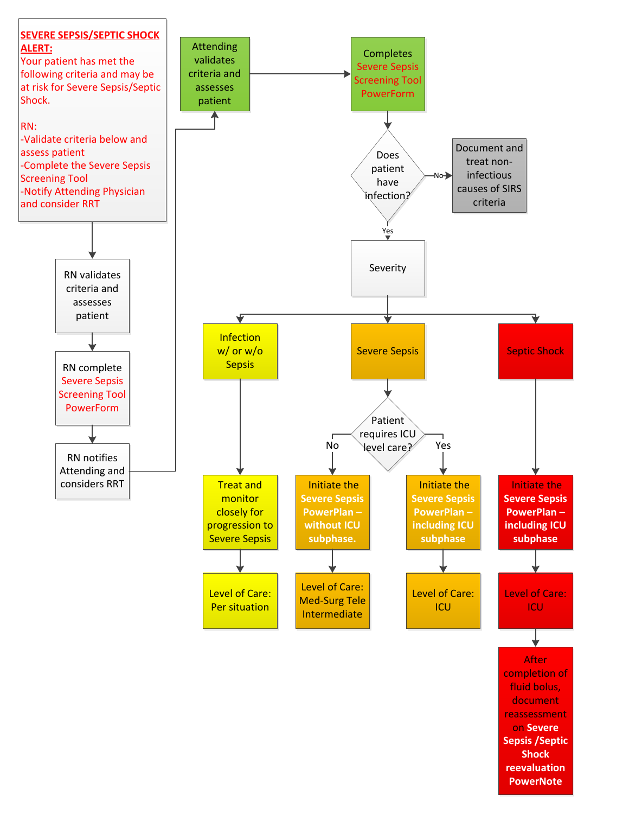